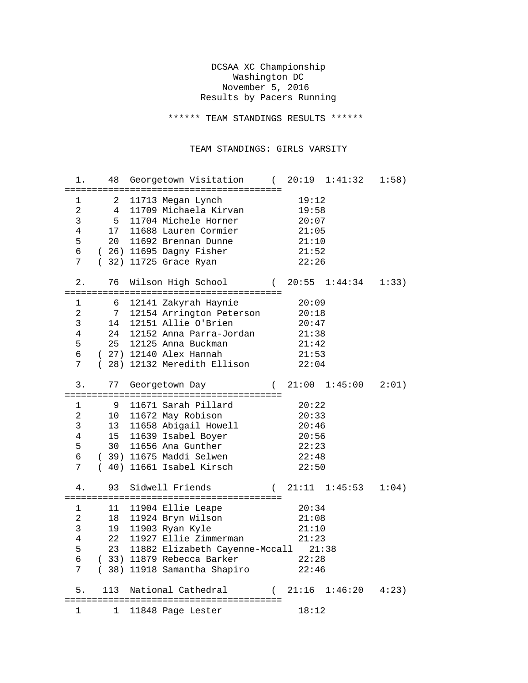## DCSAA XC Championship Washington DC November 5, 2016 Results by Pacers Running

\*\*\*\*\*\* TEAM STANDINGS RESULTS \*\*\*\*\*\*

## TEAM STANDINGS: GIRLS VARSITY

| 1.                                                                              |                 | 48 Georgetown Visitation (                                                                                                                                                                            |          |                                                             | 20:19 1:41:32       | 1:58) |
|---------------------------------------------------------------------------------|-----------------|-------------------------------------------------------------------------------------------------------------------------------------------------------------------------------------------------------|----------|-------------------------------------------------------------|---------------------|-------|
| $\mathbf{1}$<br>$\overline{a}$<br>$\mathsf{3}$<br>$\overline{4}$<br>5<br>6<br>7 | $4\overline{ }$ | 2 11713 Megan Lynch<br>11709 Michaela Kirvan<br>5 11704 Michele Horner<br>17 11688 Lauren Cormier<br>20 11692 Brennan Dunne<br>(26) 11695 Dagny Fisher<br>(32) 11725 Grace Ryan                       |          | 19:12<br>19:58<br>20:07<br>21:05<br>21:10<br>21:52<br>22:26 |                     |       |
| 2.                                                                              | 76              | Wilson High School (20:55 1:44:34                                                                                                                                                                     |          |                                                             |                     | 1:33) |
| 1<br>2<br>$\mathsf{3}$<br>$\overline{4}$<br>5<br>6<br>7                         | 6<br>14         | 12141 Zakyrah Haynie<br>7 12154 Arrington Peterson<br>12151 Allie O'Brien<br>24 12152 Anna Parra-Jordan<br>25 12125 Anna Buckman<br>(27) 12140 Alex Hannah<br>(28) 12132 Meredith Ellison             |          | 20:09<br>20:18<br>20:47<br>21:38<br>21:42<br>21:53<br>22:04 |                     |       |
| 3.                                                                              | 77              | Georgetown Day                                                                                                                                                                                        |          |                                                             | $(21:00 \t1:45:00$  | 2:01) |
|                                                                                 |                 |                                                                                                                                                                                                       |          |                                                             |                     |       |
| 1<br>$\overline{a}$<br>$\mathbf{3}$<br>$\overline{4}$<br>5<br>6<br>7            | 9               | 11671 Sarah Pillard<br>10 11672 May Robison<br>13 11658 Abigail Howell<br>15 11639 Isabel Boyer<br>30 11656 Ana Gunther<br>(39) 11675 Maddi Selwen<br>(40) 11661 Isabel Kirsch                        |          | 20:22<br>20:33<br>20:46<br>20:56<br>22:23<br>22:48<br>22:50 |                     |       |
| 4.                                                                              |                 | 93 Sidwell Friends                                                                                                                                                                                    |          |                                                             | $(21:11 \t1:45:53)$ | 1:04) |
| 1<br>$\overline{a}$<br>$\mathbf{3}$<br>$\overline{4}$<br>5<br>б<br>7            |                 | 11 11904 Ellie Leape<br>18 11924 Bryn Wilson<br>19 11903 Ryan Kyle<br>22 11927 Ellie Zimmerman<br>23 11882 Elizabeth Cayenne-Mccall 21:38<br>(33) 11879 Rebecca Barker<br>(38) 11918 Samantha Shapiro |          | 20:34<br>21:08<br>21:10<br>21:23<br>22:28<br>22:46          |                     |       |
| 5.                                                                              | 113             | National Cathedral                                                                                                                                                                                    | $\left($ | 21:16                                                       | 1:46:20             | 4:23  |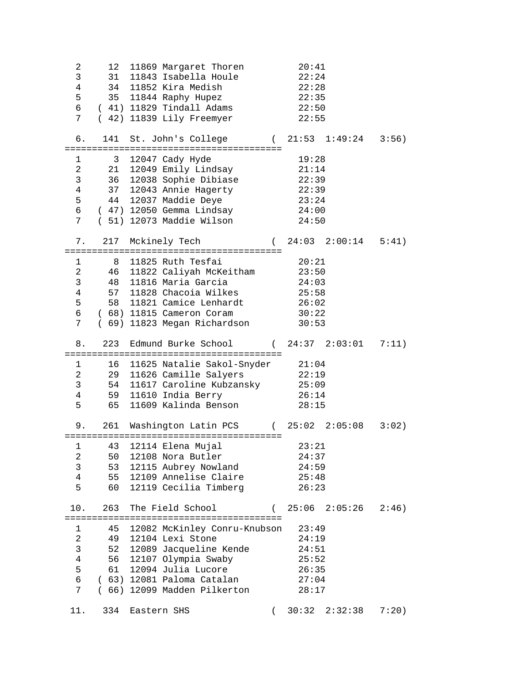| 2<br>3<br>$\overline{4}$<br>5<br>6<br>7 <sup>7</sup>                                         | 12<br>31                   | 11869 Margaret Thoren<br>11843 Isabella Houle<br>34 11852 Kira Medish<br>35 11844 Raphy Hupez<br>(41) 11829 Tindall Adams 22:50<br>( 42) 11839 Lily Freemyer                                     |          | 20:41<br>22:24<br>22:28<br>22:35<br>22:55                   |       |
|----------------------------------------------------------------------------------------------|----------------------------|--------------------------------------------------------------------------------------------------------------------------------------------------------------------------------------------------|----------|-------------------------------------------------------------|-------|
| б.                                                                                           |                            | 141 St. John's College (21:53 1:49:24                                                                                                                                                            |          |                                                             | 3:56) |
| $\mathbf{1}$<br>$\overline{a}$<br>3<br>$\overline{4}$<br>5<br>$6\overline{}$<br>7            |                            | 3 12047 Cady Hyde<br>21 12049 Emily Lindsay<br>36 12038 Sophie Dibiase 22:39<br>37 12043 Annie Hagerty<br>44 12037 Maddie Deye<br>( 47) 12050 Gemma Lindsay<br>(51) 12073 Maddie Wilson          |          | 19:28<br>21:14<br>22:39<br>23:24<br>24:00<br>24:50          |       |
| 7.                                                                                           |                            | 217 Mckinely Tech (24:03 2:00:14 5:41)                                                                                                                                                           |          |                                                             |       |
| $\mathbf{1}$<br>$\overline{a}$<br>$\mathbf{3}$<br>$\overline{4}$<br>5<br>$6\overline{}$<br>7 | 48                         | 8 11825 Ruth Tesfai<br>46 11822 Caliyah McKeitham 23:50<br>11816 Maria Garcia<br>57 11828 Chacoia Wilkes<br>58 11821 Camice Lenhardt<br>(68) 11815 Cameron Coram<br>( 69) 11823 Megan Richardson |          | 20:21<br>24:03<br>25:58<br>26:02<br>30:22<br>30:53          |       |
| 8.                                                                                           | 223                        | Edmund Burke School $(24:37 \t2:03:01$                                                                                                                                                           |          |                                                             | 7:11) |
| $\mathbf{1}$<br>$\overline{2}$<br>$\mathsf{3}$<br>$\overline{4}$<br>5                        | 65                         | 16 11625 Natalie Sakol-Snyder 21:04<br>29   11626 Camille Salyers<br>54   11617 Caroline Kubzansky<br>59 11610 India Berry<br>11609 Kalinda Benson                                               |          | 22:19<br>25:09<br>26:14<br>28:15                            |       |
| 9.                                                                                           |                            | 261 Washington Latin PCS (25:02 2:05:08                                                                                                                                                          |          |                                                             | 3:02) |
| $\mathbf 1$<br>2<br>$\mathsf{3}$<br>$\overline{4}$<br>5                                      | 43<br>50<br>53<br>55<br>60 | 12114 Elena Mujal<br>12108 Nora Butler<br>12115 Aubrey Nowland<br>12109 Annelise Claire<br>12119 Cecilia Timberg                                                                                 |          | 23:21<br>24:37<br>24:59<br>25:48<br>26:23                   |       |
| 10.                                                                                          |                            | 263 The Field School                                                                                                                                                                             |          | (25:062:05:26                                               | 2:46) |
| 1<br>$\overline{a}$<br>$\mathsf{3}$<br>$\overline{4}$<br>5<br>6<br>7                         | 49<br>52<br>56<br>61       | 45 12082 McKinley Conru-Knubson<br>12104 Lexi Stone<br>12089 Jacqueline Kende<br>12107 Olympia Swaby<br>12094 Julia Lucore<br>(63) 12081 Paloma Catalan<br>(66) 12099 Madden Pilkerton           |          | 23:49<br>24:19<br>24:51<br>25:52<br>26:35<br>27:04<br>28:17 |       |
| 11.                                                                                          | 334                        | Eastern SHS                                                                                                                                                                                      | $\left($ | 30:32<br>2:32:38                                            | 7:20) |